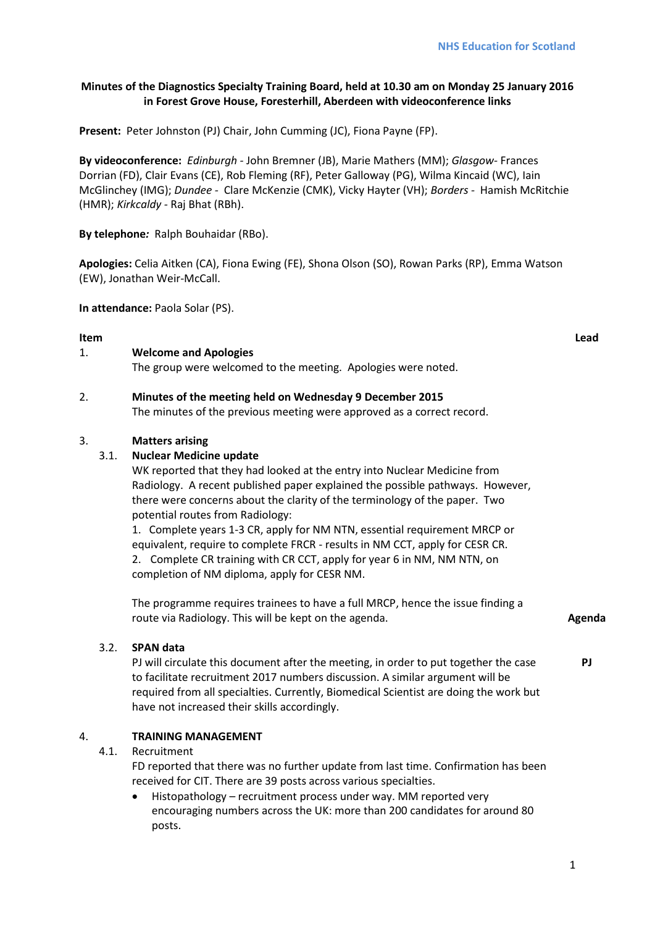# **Minutes of the Diagnostics Specialty Training Board, held at 10.30 am on Monday 25 January 2016 in Forest Grove House, Foresterhill, Aberdeen with videoconference links**

**Present:** Peter Johnston (PJ) Chair, John Cumming (JC), Fiona Payne (FP).

**By videoconference:** *Edinburgh -* John Bremner (JB), Marie Mathers (MM); *Glasgow-* Frances Dorrian (FD), Clair Evans (CE), Rob Fleming (RF), Peter Galloway (PG), Wilma Kincaid (WC), Iain McGlinchey (IMG); *Dundee -* Clare McKenzie (CMK), Vicky Hayter (VH); *Borders -* Hamish McRitchie (HMR); *Kirkcaldy -* Raj Bhat (RBh).

**By telephone***:* Ralph Bouhaidar (RBo).

**Apologies:** Celia Aitken (CA), Fiona Ewing (FE), Shona Olson (SO), Rowan Parks (RP), Emma Watson (EW), Jonathan Weir-McCall.

**In attendance:** Paola Solar (PS).

# **Item Lead**

### 1. **Welcome and Apologies**

The group were welcomed to the meeting. Apologies were noted.

### 2. **Minutes of the meeting held on Wednesday 9 December 2015**

The minutes of the previous meeting were approved as a correct record.

#### 3. **Matters arising**

### 3.1. **Nuclear Medicine update**

WK reported that they had looked at the entry into Nuclear Medicine from Radiology. A recent published paper explained the possible pathways. However, there were concerns about the clarity of the terminology of the paper. Two potential routes from Radiology:

1. Complete years 1-3 CR, apply for NM NTN, essential requirement MRCP or equivalent, require to complete FRCR - results in NM CCT, apply for CESR CR. 2. Complete CR training with CR CCT, apply for year 6 in NM, NM NTN, on completion of NM diploma, apply for CESR NM.

The programme requires trainees to have a full MRCP, hence the issue finding a route via Radiology. This will be kept on the agenda. **Agents Agenda** 

#### 3.2. **SPAN data**

PJ will circulate this document after the meeting, in order to put together the case to facilitate recruitment 2017 numbers discussion. A similar argument will be required from all specialties. Currently, Biomedical Scientist are doing the work but have not increased their skills accordingly.

# 4. **TRAINING MANAGEMENT**

# 4.1. Recruitment

FD reported that there was no further update from last time. Confirmation has been received for CIT. There are 39 posts across various specialties.

• Histopathology – recruitment process under way. MM reported very encouraging numbers across the UK: more than 200 candidates for around 80 posts.

**PJ**

1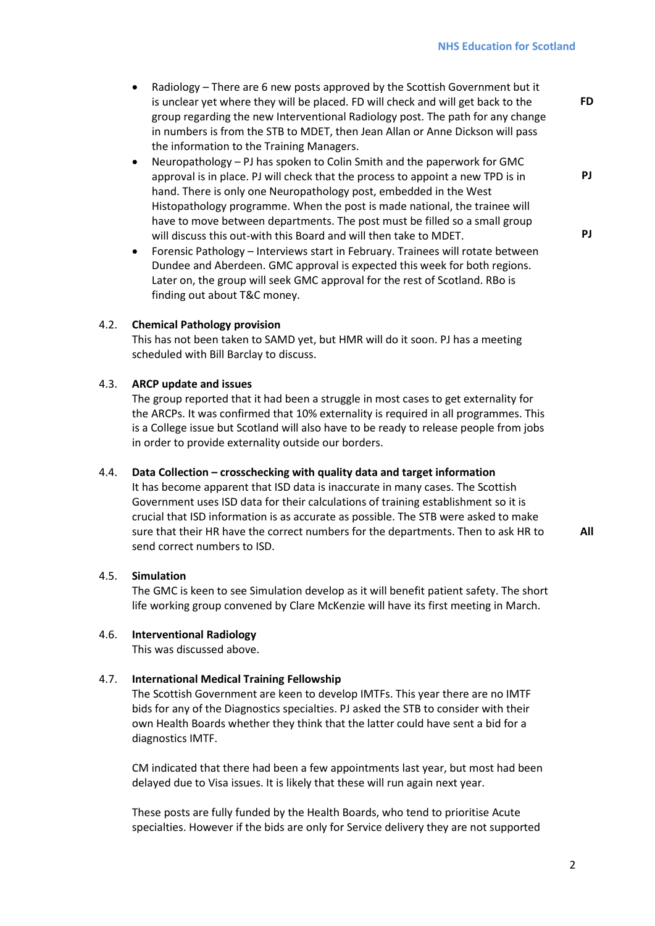- Radiology There are 6 new posts approved by the Scottish Government but it is unclear yet where they will be placed. FD will check and will get back to the group regarding the new Interventional Radiology post. The path for any change in numbers is from the STB to MDET, then Jean Allan or Anne Dickson will pass the information to the Training Managers.
- Neuropathology PJ has spoken to Colin Smith and the paperwork for GMC approval is in place. PJ will check that the process to appoint a new TPD is in hand. There is only one Neuropathology post, embedded in the West Histopathology programme. When the post is made national, the trainee will have to move between departments. The post must be filled so a small group will discuss this out-with this Board and will then take to MDET.
- Forensic Pathology Interviews start in February. Trainees will rotate between Dundee and Aberdeen. GMC approval is expected this week for both regions. Later on, the group will seek GMC approval for the rest of Scotland. RBo is finding out about T&C money.

### 4.2. **Chemical Pathology provision**

This has not been taken to SAMD yet, but HMR will do it soon. PJ has a meeting scheduled with Bill Barclay to discuss.

### 4.3. **ARCP update and issues**

The group reported that it had been a struggle in most cases to get externality for the ARCPs. It was confirmed that 10% externality is required in all programmes. This is a College issue but Scotland will also have to be ready to release people from jobs in order to provide externality outside our borders.

# 4.4. **Data Collection – crosschecking with quality data and target information**

It has become apparent that ISD data is inaccurate in many cases. The Scottish Government uses ISD data for their calculations of training establishment so it is crucial that ISD information is as accurate as possible. The STB were asked to make sure that their HR have the correct numbers for the departments. Then to ask HR to send correct numbers to ISD.

**All**

**FD**

**PJ**

**PJ**

# 4.5. **Simulation**

The GMC is keen to see Simulation develop as it will benefit patient safety. The short life working group convened by Clare McKenzie will have its first meeting in March.

#### 4.6. **Interventional Radiology**

This was discussed above.

### 4.7. **International Medical Training Fellowship**

The Scottish Government are keen to develop IMTFs. This year there are no IMTF bids for any of the Diagnostics specialties. PJ asked the STB to consider with their own Health Boards whether they think that the latter could have sent a bid for a diagnostics IMTF.

CM indicated that there had been a few appointments last year, but most had been delayed due to Visa issues. It is likely that these will run again next year.

These posts are fully funded by the Health Boards, who tend to prioritise Acute specialties. However if the bids are only for Service delivery they are not supported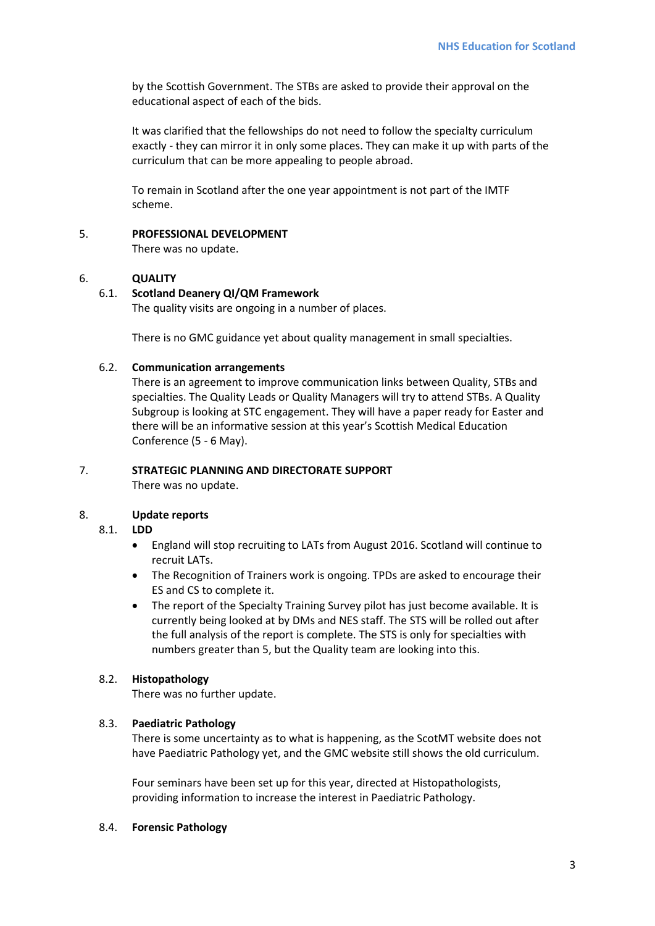by the Scottish Government. The STBs are asked to provide their approval on the educational aspect of each of the bids.

It was clarified that the fellowships do not need to follow the specialty curriculum exactly - they can mirror it in only some places. They can make it up with parts of the curriculum that can be more appealing to people abroad.

To remain in Scotland after the one year appointment is not part of the IMTF scheme.

5. **PROFESSIONAL DEVELOPMENT**

There was no update.

#### 6. **QUALITY**

#### 6.1. **Scotland Deanery QI/QM Framework**

The quality visits are ongoing in a number of places.

There is no GMC guidance yet about quality management in small specialties.

#### 6.2. **Communication arrangements**

There is an agreement to improve communication links between Quality, STBs and specialties. The Quality Leads or Quality Managers will try to attend STBs. A Quality Subgroup is looking at STC engagement. They will have a paper ready for Easter and there will be an informative session at this year's Scottish Medical Education Conference (5 - 6 May).

# 7. **STRATEGIC PLANNING AND DIRECTORATE SUPPORT**

There was no update.

#### 8. **Update reports**

### 8.1. **LDD**

- England will stop recruiting to LATs from August 2016. Scotland will continue to recruit LATs.
- The Recognition of Trainers work is ongoing. TPDs are asked to encourage their ES and CS to complete it.
- The report of the Specialty Training Survey pilot has just become available. It is currently being looked at by DMs and NES staff. The STS will be rolled out after the full analysis of the report is complete. The STS is only for specialties with numbers greater than 5, but the Quality team are looking into this.

# 8.2. **Histopathology**

There was no further update.

#### 8.3. **Paediatric Pathology**

There is some uncertainty as to what is happening, as the ScotMT website does not have Paediatric Pathology yet, and the GMC website still shows the old curriculum.

Four seminars have been set up for this year, directed at Histopathologists, providing information to increase the interest in Paediatric Pathology.

#### 8.4. **Forensic Pathology**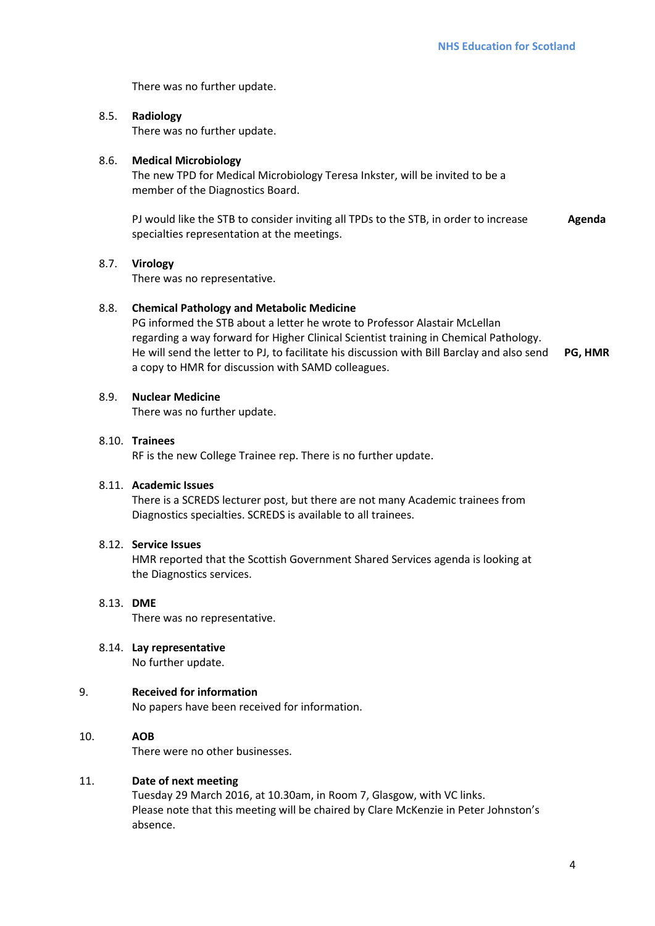There was no further update.

# 8.5. **Radiology**

There was no further update.

#### 8.6. **Medical Microbiology**

The new TPD for Medical Microbiology Teresa Inkster, will be invited to be a member of the Diagnostics Board.

PJ would like the STB to consider inviting all TPDs to the STB, in order to increase specialties representation at the meetings. **Agenda**

#### 8.7. **Virology**

There was no representative.

## 8.8. **Chemical Pathology and Metabolic Medicine**

PG informed the STB about a letter he wrote to Professor Alastair McLellan regarding a way forward for Higher Clinical Scientist training in Chemical Pathology. He will send the letter to PJ, to facilitate his discussion with Bill Barclay and also send a copy to HMR for discussion with SAMD colleagues. **PG, HMR**

### 8.9. **Nuclear Medicine**

There was no further update.

#### 8.10. **Trainees**

RF is the new College Trainee rep. There is no further update.

#### 8.11. **Academic Issues**

There is a SCREDS lecturer post, but there are not many Academic trainees from Diagnostics specialties. SCREDS is available to all trainees.

#### 8.12. **Service Issues**

HMR reported that the Scottish Government Shared Services agenda is looking at the Diagnostics services.

#### 8.13. **DME**

There was no representative.

#### 8.14. **Lay representative**

No further update.

# 9. **Received for information**

No papers have been received for information.

# 10. **AOB**

There were no other businesses.

# 11. **Date of next meeting**

Tuesday 29 March 2016, at 10.30am, in Room 7, Glasgow, with VC links. Please note that this meeting will be chaired by Clare McKenzie in Peter Johnston's absence.